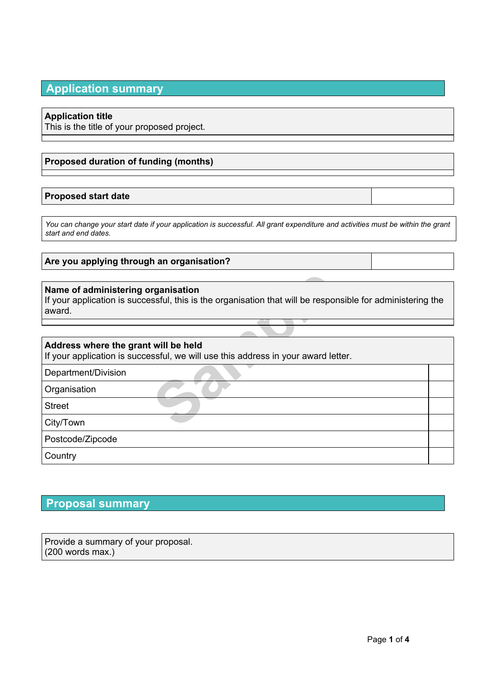## **Application summary**

### **Application title**

This is the title of your proposed project.

### **Proposed duration of funding (months)**

### **Proposed start date**

*You can change your start date if your application is successful. All grant expenditure and activities must be within the grant start and end dates.*

**Are you applying through an organisation?**

### **Name of administering organisation**

| Name of administering organisation<br>If your application is successful, this is the organisation that will be responsible for administering the<br>award. |  |  |  |
|------------------------------------------------------------------------------------------------------------------------------------------------------------|--|--|--|
|                                                                                                                                                            |  |  |  |
| Address where the grant will be held<br>If your application is successful, we will use this address in your award letter.                                  |  |  |  |
| Department/Division                                                                                                                                        |  |  |  |
| Organisation                                                                                                                                               |  |  |  |
| <b>Street</b>                                                                                                                                              |  |  |  |
| City/Town                                                                                                                                                  |  |  |  |
| Postcode/Zipcode                                                                                                                                           |  |  |  |
| Country                                                                                                                                                    |  |  |  |

# **Proposal summary**

Provide a summary of your proposal. (200 words max.)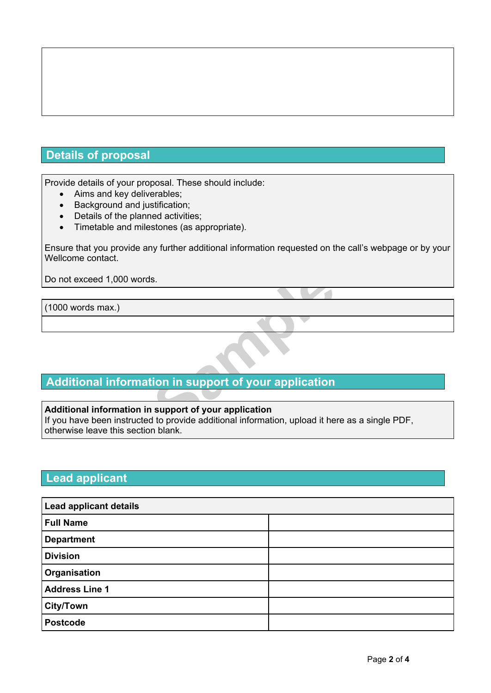# **Details of proposal**

Provide details of your proposal. These should include:

- Aims and key deliverables:
- Background and justification;
- Details of the planned activities;
- Timetable and milestones (as appropriate).

Ensure that you provide any further additional information requested on the call's webpage or by your Wellcome contact.

Do not exceed 1,000 words.

(1000 words max.)

## **Additional information in support of your application**

#### **Additional information in support of your application**

**S.**<br> **S.**<br> **S.**<br> **S.**<br> **S.**<br> **S.**<br> **S.**<br> **S.**<br> **S.**<br> **S.**<br> **S.**<br> **S.**<br> **S.**<br> **S.**<br> **S.**<br> **S.**<br> **S.**<br> **S.**<br> **S.**<br> **S.**<br> **S.**<br> **S.**<br> **S.**<br> **D.**<br> **S.**<br> **D.**<br> **D.**<br> **D.**<br> **D.**<br> **D.**<br> **D.**<br> **D.**<br> **D.**<br> **D.**<br> **D.**<br> **D.**<br> **D.**<br> If you have been instructed to provide additional information, upload it here as a single PDF, otherwise leave this section blank.

# **Lead applicant**

| <b>Lead applicant details</b> |  |  |  |
|-------------------------------|--|--|--|
| <b>Full Name</b>              |  |  |  |
| <b>Department</b>             |  |  |  |
| <b>Division</b>               |  |  |  |
| Organisation                  |  |  |  |
| <b>Address Line 1</b>         |  |  |  |
| <b>City/Town</b>              |  |  |  |
| <b>Postcode</b>               |  |  |  |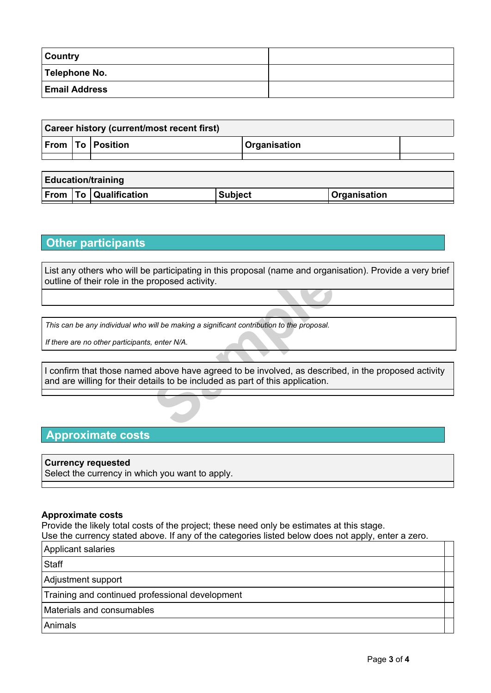| <b>Country</b>       |  |
|----------------------|--|
| Telephone No.        |  |
| <b>Email Address</b> |  |

| <b>Career history (current/most recent first)</b> |  |                      |                     |  |
|---------------------------------------------------|--|----------------------|---------------------|--|
|                                                   |  | From   To   Position | <b>Organisation</b> |  |
|                                                   |  |                      |                     |  |

| <b>Education/training</b> |  |                              |                |                     |
|---------------------------|--|------------------------------|----------------|---------------------|
|                           |  | <b>From To Qualification</b> | <b>Subject</b> | <b>Organisation</b> |

## **Other participants**

List any others who will be participating in this proposal (name and organisation). Provide a very brief outline of their role in the proposed activity.

*This can be any individual who will be making a significant contribution to the proposal.*

*If there are no other participants, enter N/A.*

participating in this proposal (hainte and organization)<br> **Sample 2018**<br> *Senter N/A.*<br> **Sample 2018** a significant contribution to the proposal.<br> **Sample 2018** above have agreed to be involved, as describing that is appli I confirm that those named above have agreed to be involved, as described, in the proposed activity and are willing for their details to be included as part of this application.

### **Approximate costs**

### **Currency requested**

Select the currency in which you want to apply.

#### **Approximate costs**

Provide the likely total costs of the project; these need only be estimates at this stage. Use the currency stated above. If any of the categories listed below does not apply, enter a zero.

Applicant salaries

**Staff** 

Adjustment support

Training and continued professional development

Materials and consumables

Animals